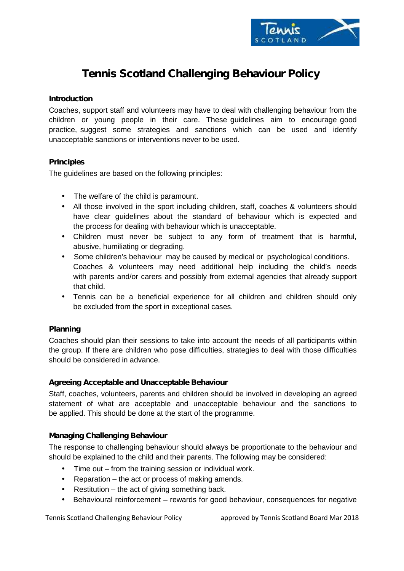

# **Tennis Scotland Challenging Behaviour Policy**

#### **Introduction**

Coaches, support staff and volunteers may have to deal with challenging behaviour from the children or young people in their care. These guidelines aim to encourage good practice, suggest some strategies and sanctions which can be used and identify unacceptable sanctions or interventions never to be used.

## **Principles**

The guidelines are based on the following principles:

- The welfare of the child is paramount.
- All those involved in the sport including children, staff, coaches & volunteers should have clear guidelines about the standard of behaviour which is expected and the process for dealing with behaviour which is unacceptable.
- Children must never be subject to any form of treatment that is harmful, abusive, humiliating or degrading.
- Some children's behaviour may be caused by medical or psychological conditions. Coaches & volunteers may need additional help including the child's needs with parents and/or carers and possibly from external agencies that already support that child.
- Tennis can be a beneficial experience for all children and children should only be excluded from the sport in exceptional cases.

## **Planning**

Coaches should plan their sessions to take into account the needs of all participants within the group. If there are children who pose difficulties, strategies to deal with those difficulties should be considered in advance.

#### **Agreeing Acceptable and Unacceptable Behaviour**

Staff, coaches, volunteers, parents and children should be involved in developing an agreed statement of what are acceptable and unacceptable behaviour and the sanctions to be applied. This should be done at the start of the programme.

#### **Managing Challenging Behaviour**

The response to challenging behaviour should always be proportionate to the behaviour and should be explained to the child and their parents. The following may be considered:

- Time out from the training session or individual work.
- $|$  Reparation the act or process of making amends.
- $|$  Restitution the act of giving something back.
- Behavioural reinforcement rewards for good behaviour, consequences for negative

Tennis Scotland Challenging Behaviour Policy approved by Tennis Scotland Board Mar 2018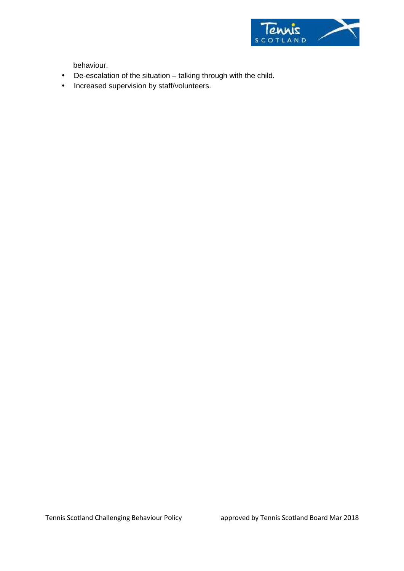

behaviour.

- De-escalation of the situation talking through with the child.
- $\hat{I}$  Increased supervision by staff/volunteers.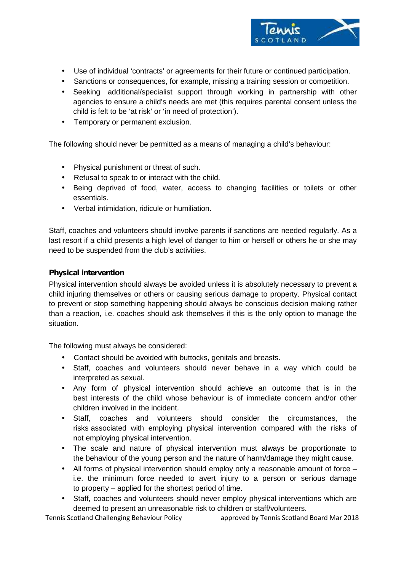

- Use of individual 'contracts' or agreements for their future or continued participation.
- Sanctions or consequences, for example, missing a training session or competition.
- Seeking additional/specialist support through working in partnership with other agencies to ensure a child's needs are met (this requires parental consent unless the child is felt to be 'at risk' or 'in need of protection').
- Temporary or permanent exclusion.

The following should never be permitted as a means of managing a child's behaviour:

- Physical punishment or threat of such.
- Refusal to speak to or interact with the child.
- Being deprived of food, water, access to changing facilities or toilets or other essentials.
- Verbal intimidation, ridicule or humiliation.

Staff, coaches and volunteers should involve parents if sanctions are needed regularly. As a last resort if a child presents a high level of danger to him or herself or others he or she may need to be suspended from the club's activities.

### **Physical intervention**

Physical intervention should always be avoided unless it is absolutely necessary to prevent a child injuring themselves or others or causing serious damage to property. Physical contact to prevent or stop something happening should always be conscious decision making rather than a reaction, i.e. coaches should ask themselves if this is the only option to manage the situation.

The following must always be considered:

- Contact should be avoided with buttocks, genitals and breasts.
- Staff, coaches and volunteers should never behave in a way which could be interpreted as sexual.
- Any form of physical intervention should achieve an outcome that is in the best interests of the child whose behaviour is of immediate concern and/or other children involved in the incident.
- Staff, coaches and volunteers should consider the circumstances, the risks associated with employing physical intervention compared with the risks of not employing physical intervention.
- The scale and nature of physical intervention must always be proportionate to the behaviour of the young person and the nature of harm/damage they might cause.
- All forms of physical intervention should employ only a reasonable amount of force i.e. the minimum force needed to avert injury to a person or serious damage to property – applied for the shortest period of time.
- Staff, coaches and volunteers should never employ physical interventions which are deemed to present an unreasonable risk to children or staff/volunteers.

Tennis Scotland Challenging Behaviour Policy approved by Tennis Scotland Board Mar 2018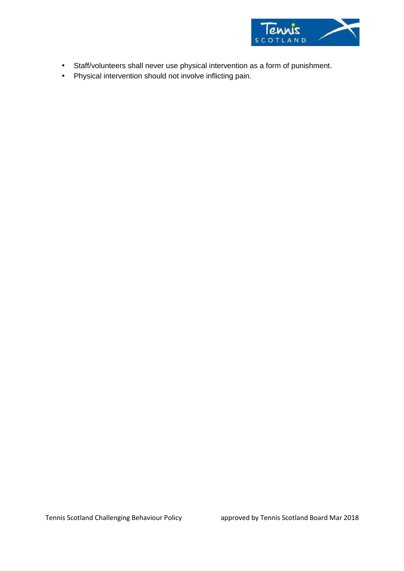

- Staff/volunteers shall never use physical intervention as a form of punishment.
- Physical intervention should not involve inflicting pain.